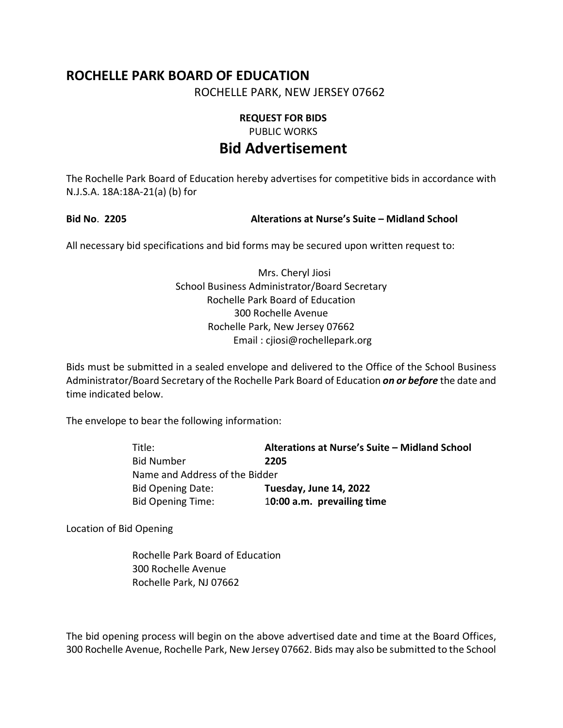# **ROCHELLE PARK BOARD OF EDUCATION**

ROCHELLE PARK, NEW JERSEY 07662

## **REQUEST FOR BIDS**

PUBLIC WORKS

# **Bid Advertisement**

The Rochelle Park Board of Education hereby advertises for competitive bids in accordance with N.J.S.A. 18A:18A-21(a) (b) for

#### **Bid No**. **2205 Alterations at Nurse's Suite – Midland School**

All necessary bid specifications and bid forms may be secured upon written request to:

### Mrs. Cheryl Jiosi School Business Administrator/Board Secretary Rochelle Park Board of Education 300 Rochelle Avenue Rochelle Park, New Jersey 07662 Email : cjiosi@rochellepark.org

Bids must be submitted in a sealed envelope and delivered to the Office of the School Business Administrator/Board Secretary of the Rochelle Park Board of Education *on or before* the date and time indicated below.

The envelope to bear the following information:

| Title:                         | Alterations at Nurse's Suite - Midland School |
|--------------------------------|-----------------------------------------------|
| <b>Bid Number</b>              | 2205                                          |
| Name and Address of the Bidder |                                               |
| <b>Bid Opening Date:</b>       | Tuesday, June 14, 2022                        |
| <b>Bid Opening Time:</b>       | 10:00 a.m. prevailing time                    |

Location of Bid Opening

Rochelle Park Board of Education 300 Rochelle Avenue Rochelle Park, NJ 07662

The bid opening process will begin on the above advertised date and time at the Board Offices, 300 Rochelle Avenue, Rochelle Park, New Jersey 07662. Bids may also be submitted to the School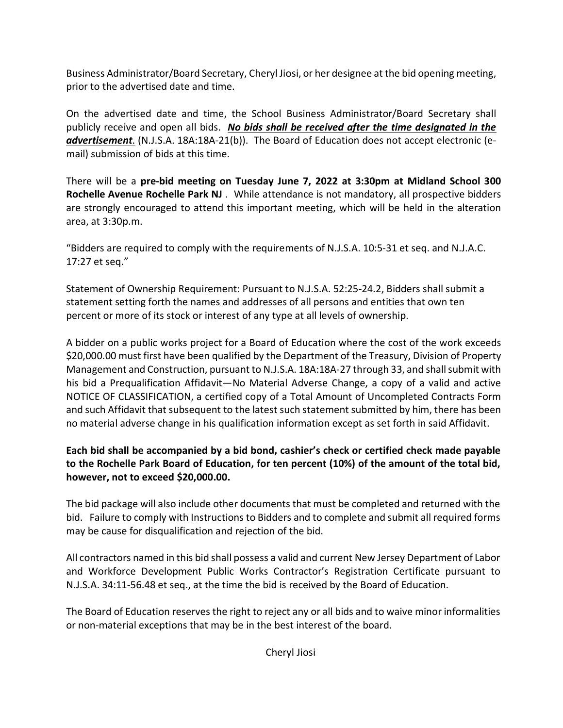Business Administrator/Board Secretary, Cheryl Jiosi, or her designee at the bid opening meeting, prior to the advertised date and time.

On the advertised date and time, the School Business Administrator/Board Secretary shall publicly receive and open all bids. *No bids shall be received after the time designated in the advertisement*. (N.J.S.A. 18A:18A-21(b)). The Board of Education does not accept electronic (email) submission of bids at this time.

There will be a **pre-bid meeting on Tuesday June 7, 2022 at 3:30pm at Midland School 300 Rochelle Avenue Rochelle Park NJ** . While attendance is not mandatory, all prospective bidders are strongly encouraged to attend this important meeting, which will be held in the alteration area, at 3:30p.m.

"Bidders are required to comply with the requirements of N.J.S.A. 10:5-31 et seq. and N.J.A.C. 17:27 et seq."

Statement of Ownership Requirement: Pursuant to N.J.S.A. 52:25-24.2, Bidders shall submit a statement setting forth the names and addresses of all persons and entities that own ten percent or more of its stock or interest of any type at all levels of ownership.

A bidder on a public works project for a Board of Education where the cost of the work exceeds \$20,000.00 must first have been qualified by the Department of the Treasury, Division of Property Management and Construction, pursuant to N.J.S.A. 18A:18A-27 through 33, and shall submit with his bid a Prequalification Affidavit—No Material Adverse Change, a copy of a valid and active NOTICE OF CLASSIFICATION, a certified copy of a Total Amount of Uncompleted Contracts Form and such Affidavit that subsequent to the latest such statement submitted by him, there has been no material adverse change in his qualification information except as set forth in said Affidavit.

## **Each bid shall be accompanied by a bid bond, cashier's check or certified check made payable to the Rochelle Park Board of Education, for ten percent (10%) of the amount of the total bid, however, not to exceed \$20,000.00.**

The bid package will also include other documents that must be completed and returned with the bid. Failure to comply with Instructions to Bidders and to complete and submit all required forms may be cause for disqualification and rejection of the bid.

All contractors named in this bid shall possess a valid and current New Jersey Department of Labor and Workforce Development Public Works Contractor's Registration Certificate pursuant to N.J.S.A. 34:11-56.48 et seq., at the time the bid is received by the Board of Education.

The Board of Education reserves the right to reject any or all bids and to waive minor informalities or non-material exceptions that may be in the best interest of the board.